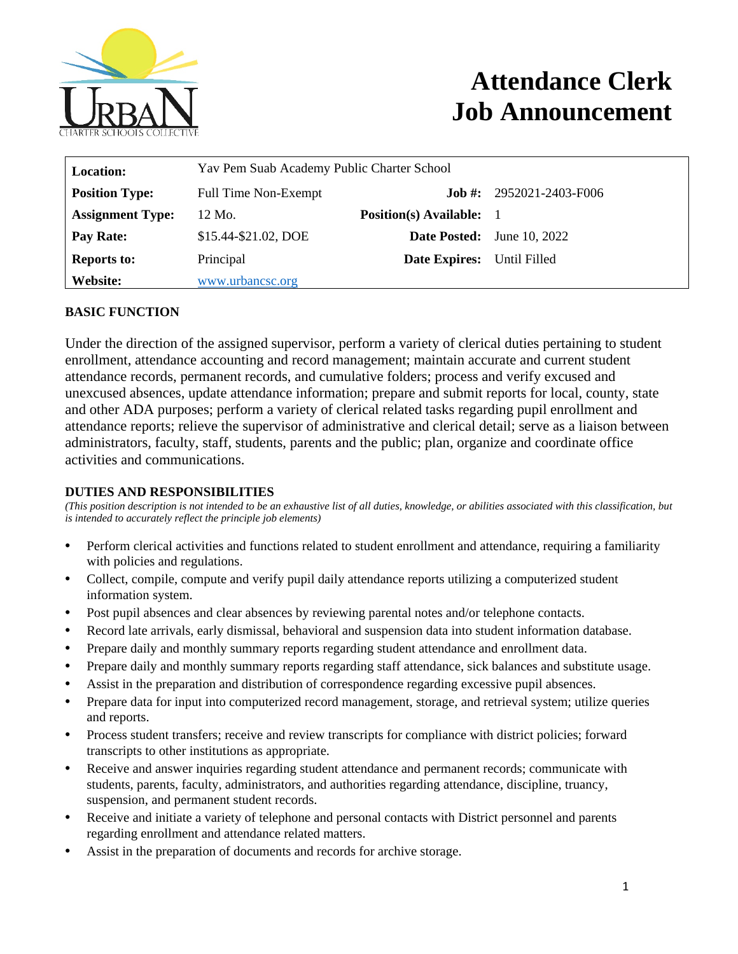

# **Attendance Clerk Job Announcement**

| <b>Location:</b>        | Yav Pem Suab Academy Public Charter School |                                 |                                   |
|-------------------------|--------------------------------------------|---------------------------------|-----------------------------------|
| <b>Position Type:</b>   | <b>Full Time Non-Exempt</b>                | .Iob #:                         | 2952021-2403-F006                 |
| <b>Assignment Type:</b> | 12 Mo.                                     | <b>Position(s)</b> Available: 1 |                                   |
| <b>Pay Rate:</b>        | \$15.44-\$21.02, DOE                       |                                 | <b>Date Posted:</b> June 10, 2022 |
| <b>Reports to:</b>      | Principal                                  | <b>Date Expires:</b>            | Until Filled                      |
| Website:                | www.urbancsc.org                           |                                 |                                   |

## **BASIC FUNCTION**

Under the direction of the assigned supervisor, perform a variety of clerical duties pertaining to student enrollment, attendance accounting and record management; maintain accurate and current student attendance records, permanent records, and cumulative folders; process and verify excused and unexcused absences, update attendance information; prepare and submit reports for local, county, state and other ADA purposes; perform a variety of clerical related tasks regarding pupil enrollment and attendance reports; relieve the supervisor of administrative and clerical detail; serve as a liaison between administrators, faculty, staff, students, parents and the public; plan, organize and coordinate office activities and communications.

#### **DUTIES AND RESPONSIBILITIES**

*(This position description is not intended to be an exhaustive list of all duties, knowledge, or abilities associated with this classification, but is intended to accurately reflect the principle job elements)*

- Perform clerical activities and functions related to student enrollment and attendance, requiring a familiarity with policies and regulations.
- Collect, compile, compute and verify pupil daily attendance reports utilizing a computerized student information system.
- Post pupil absences and clear absences by reviewing parental notes and/or telephone contacts.
- Record late arrivals, early dismissal, behavioral and suspension data into student information database.
- Prepare daily and monthly summary reports regarding student attendance and enrollment data.
- Prepare daily and monthly summary reports regarding staff attendance, sick balances and substitute usage.
- Assist in the preparation and distribution of correspondence regarding excessive pupil absences.
- Prepare data for input into computerized record management, storage, and retrieval system; utilize queries and reports.
- Process student transfers; receive and review transcripts for compliance with district policies; forward transcripts to other institutions as appropriate.
- Receive and answer inquiries regarding student attendance and permanent records; communicate with students, parents, faculty, administrators, and authorities regarding attendance, discipline, truancy, suspension, and permanent student records.
- Receive and initiate a variety of telephone and personal contacts with District personnel and parents regarding enrollment and attendance related matters.
- Assist in the preparation of documents and records for archive storage.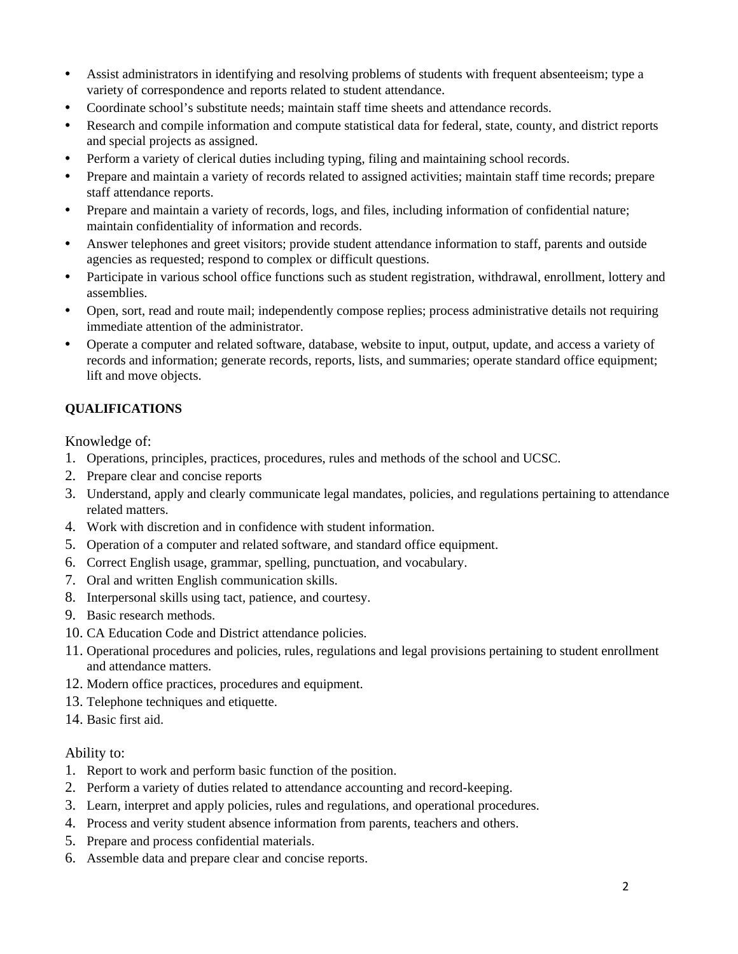- Assist administrators in identifying and resolving problems of students with frequent absenteeism; type a variety of correspondence and reports related to student attendance.
- Coordinate school's substitute needs; maintain staff time sheets and attendance records.
- Research and compile information and compute statistical data for federal, state, county, and district reports and special projects as assigned.
- Perform a variety of clerical duties including typing, filing and maintaining school records.
- Prepare and maintain a variety of records related to assigned activities; maintain staff time records; prepare staff attendance reports.
- Prepare and maintain a variety of records, logs, and files, including information of confidential nature; maintain confidentiality of information and records.
- Answer telephones and greet visitors; provide student attendance information to staff, parents and outside agencies as requested; respond to complex or difficult questions.
- Participate in various school office functions such as student registration, withdrawal, enrollment, lottery and assemblies.
- Open, sort, read and route mail; independently compose replies; process administrative details not requiring immediate attention of the administrator.
- Operate a computer and related software, database, website to input, output, update, and access a variety of records and information; generate records, reports, lists, and summaries; operate standard office equipment; lift and move objects.

### **QUALIFICATIONS**

Knowledge of:

- 1. Operations, principles, practices, procedures, rules and methods of the school and UCSC.
- 2. Prepare clear and concise reports
- 3. Understand, apply and clearly communicate legal mandates, policies, and regulations pertaining to attendance related matters.
- 4. Work with discretion and in confidence with student information.
- 5. Operation of a computer and related software, and standard office equipment.
- 6. Correct English usage, grammar, spelling, punctuation, and vocabulary.
- 7. Oral and written English communication skills.
- 8. Interpersonal skills using tact, patience, and courtesy.
- 9. Basic research methods.
- 10. CA Education Code and District attendance policies.
- 11. Operational procedures and policies, rules, regulations and legal provisions pertaining to student enrollment and attendance matters.
- 12. Modern office practices, procedures and equipment.
- 13. Telephone techniques and etiquette.
- 14. Basic first aid.

#### Ability to:

- 1. Report to work and perform basic function of the position.
- 2. Perform a variety of duties related to attendance accounting and record-keeping.
- 3. Learn, interpret and apply policies, rules and regulations, and operational procedures.
- 4. Process and verity student absence information from parents, teachers and others.
- 5. Prepare and process confidential materials.
- 6. Assemble data and prepare clear and concise reports.